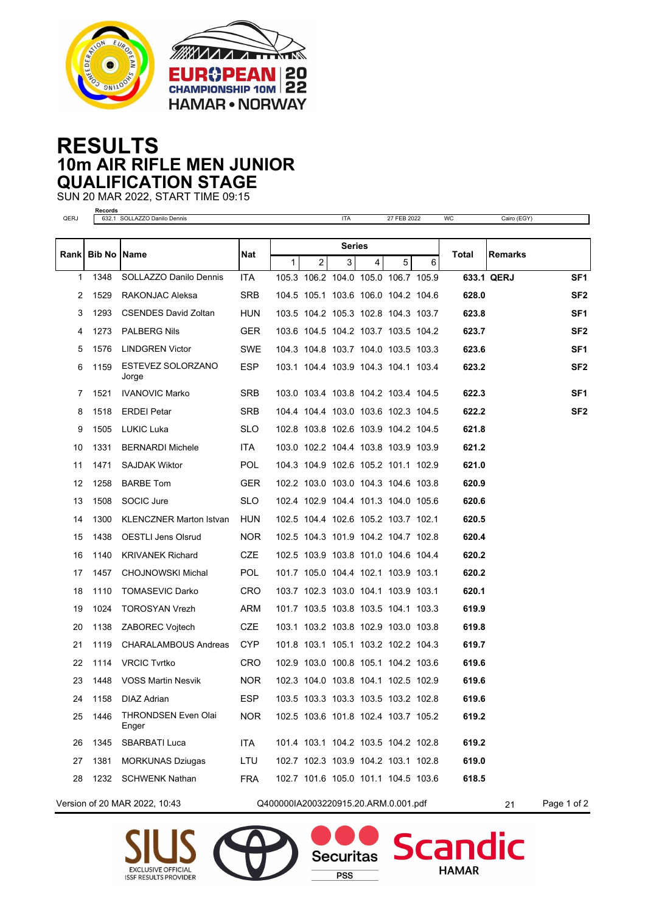



## **RESULTS 10m AIR RIFLE MEN JUNIOR QUALIFICATION STAGE**

SUN 20 MAR 2022, START TIME 09:15

| QERJ | <b>Records</b>       | 632.1 SOLLAZZO Danilo Dennis        |            |                                      |                | <b>ITA</b>                               |   | 27 FEB 2022 |   | WC    | Cairo (EGY)    |                 |
|------|----------------------|-------------------------------------|------------|--------------------------------------|----------------|------------------------------------------|---|-------------|---|-------|----------------|-----------------|
|      |                      |                                     |            |                                      |                |                                          |   |             |   |       |                |                 |
| Rank | <b>Bib No   Name</b> |                                     | Nat        | <b>Series</b>                        |                |                                          |   |             |   | Total | <b>Remarks</b> |                 |
| 1    | 1348                 | SOLLAZZO Danilo Dennis              | <b>ITA</b> | 1 <sup>1</sup>                       | $\overline{2}$ | 3<br>105.3 106.2 104.0 105.0 106.7 105.9 | 4 | 5           | 6 |       | 633.1 QERJ     | SF <sub>1</sub> |
| 2    | 1529                 | RAKONJAC Aleksa                     | <b>SRB</b> |                                      |                | 104.5 105.1 103.6 106.0 104.2 104.6      |   |             |   | 628.0 |                | SF <sub>2</sub> |
| 3    | 1293                 | <b>CSENDES David Zoltan</b>         | <b>HUN</b> |                                      |                | 103.5 104.2 105.3 102.8 104.3 103.7      |   |             |   | 623.8 |                | SF <sub>1</sub> |
| 4    | 1273                 | <b>PALBERG Nils</b>                 | <b>GER</b> |                                      |                | 103.6 104.5 104.2 103.7 103.5 104.2      |   |             |   | 623.7 |                | SF <sub>2</sub> |
| 5    | 1576                 | <b>LINDGREN Victor</b>              | SWE        |                                      |                | 104.3 104.8 103.7 104.0 103.5 103.3      |   |             |   | 623.6 |                | SF1             |
| 6    | 1159                 | ESTEVEZ SOLORZANO<br>Jorge          | ESP.       |                                      |                | 103.1 104.4 103.9 104.3 104.1 103.4      |   |             |   | 623.2 |                | SF <sub>2</sub> |
| 7    | 1521                 | <b>IVANOVIC Marko</b>               | <b>SRB</b> |                                      |                | 103.0 103.4 103.8 104.2 103.4 104.5      |   |             |   | 622.3 |                | SF1             |
| 8    | 1518                 | <b>ERDEI Petar</b>                  | <b>SRB</b> |                                      |                | 104.4 104.4 103.0 103.6 102.3 104.5      |   |             |   | 622.2 |                | SF <sub>2</sub> |
| 9    | 1505                 | <b>LUKIC Luka</b>                   | <b>SLO</b> |                                      |                | 102.8 103.8 102.6 103.9 104.2 104.5      |   |             |   | 621.8 |                |                 |
| 10   | 1331                 | <b>BERNARDI Michele</b>             | <b>ITA</b> |                                      |                | 103.0 102.2 104.4 103.8 103.9 103.9      |   |             |   | 621.2 |                |                 |
| 11   | 1471                 | <b>SAJDAK Wiktor</b>                | <b>POL</b> |                                      |                | 104.3 104.9 102.6 105.2 101.1 102.9      |   |             |   | 621.0 |                |                 |
| 12   | 1258                 | <b>BARBE Tom</b>                    | <b>GER</b> |                                      |                | 102.2 103.0 103.0 104.3 104.6 103.8      |   |             |   | 620.9 |                |                 |
| 13   | 1508                 | SOCIC Jure                          | <b>SLO</b> |                                      |                | 102.4 102.9 104.4 101.3 104.0 105.6      |   |             |   | 620.6 |                |                 |
| 14   | 1300                 | <b>KLENCZNER Marton Istvan</b>      | HUN        |                                      |                | 102.5 104.4 102.6 105.2 103.7 102.1      |   |             |   | 620.5 |                |                 |
| 15   | 1438                 | <b>OESTLI Jens Olsrud</b>           | <b>NOR</b> |                                      |                | 102.5 104.3 101.9 104.2 104.7 102.8      |   |             |   | 620.4 |                |                 |
| 16   | 1140                 | <b>KRIVANEK Richard</b>             | CZE        |                                      |                | 102.5 103.9 103.8 101.0 104.6 104.4      |   |             |   | 620.2 |                |                 |
| 17   | 1457                 | <b>CHOJNOWSKI Michal</b>            | <b>POL</b> |                                      |                | 101.7 105.0 104.4 102.1 103.9 103.1      |   |             |   | 620.2 |                |                 |
| 18   | 1110                 | <b>TOMASEVIC Darko</b>              | <b>CRO</b> |                                      |                | 103.7 102.3 103.0 104.1 103.9 103.1      |   |             |   | 620.1 |                |                 |
| 19   | 1024                 | <b>TOROSYAN Vrezh</b>               | <b>ARM</b> |                                      |                | 101.7 103.5 103.8 103.5 104.1 103.3      |   |             |   | 619.9 |                |                 |
| 20   | 1138                 | <b>ZABOREC Vojtech</b>              | <b>CZE</b> |                                      |                | 103.1 103.2 103.8 102.9 103.0 103.8      |   |             |   | 619.8 |                |                 |
| 21   | 1119                 | <b>CHARALAMBOUS Andreas</b>         | <b>CYP</b> |                                      |                | 101.8 103.1 105.1 103.2 102.2 104.3      |   |             |   | 619.7 |                |                 |
| 22   | 1114                 | <b>VRCIC Tyrtko</b>                 | CRO        |                                      |                | 102.9 103.0 100.8 105.1 104.2 103.6      |   |             |   | 619.6 |                |                 |
| 23   | 1448                 | <b>VOSS Martin Nesvik</b>           | <b>NOR</b> |                                      |                | 102.3 104.0 103.8 104.1 102.5 102.9      |   |             |   | 619.6 |                |                 |
| 24   | 1158                 | DIAZ Adrian                         | <b>ESP</b> |                                      |                | 103.5 103.3 103.3 103.5 103.2 102.8      |   |             |   | 619.6 |                |                 |
| 25   | 1446                 | <b>THRONDSEN Even Olai</b><br>Enger | <b>NOR</b> |                                      |                | 102.5 103.6 101.8 102.4 103.7 105.2      |   |             |   | 619.2 |                |                 |
| 26   | 1345                 | <b>SBARBATI Luca</b>                | ITA        |                                      |                | 101.4 103.1 104.2 103.5 104.2 102.8      |   |             |   | 619.2 |                |                 |
| 27   | 1381                 | <b>MORKUNAS Dziugas</b>             | LTU        |                                      |                | 102.7 102.3 103.9 104.2 103.1 102.8      |   |             |   | 619.0 |                |                 |
| 28   |                      | 1232 SCHWENK Nathan                 | <b>FRA</b> |                                      |                | 102.7 101.6 105.0 101.1 104.5 103.6      |   |             |   | 618.5 |                |                 |
|      |                      | Version of 20 MAR 2022, 10:43       |            | Q400000IA2003220915.20.ARM.0.001.pdf |                |                                          |   |             |   |       | 21             | Page 1 of 2     |





**Securitas** 

**PSS** 

dic

Scan

**HAMAR**